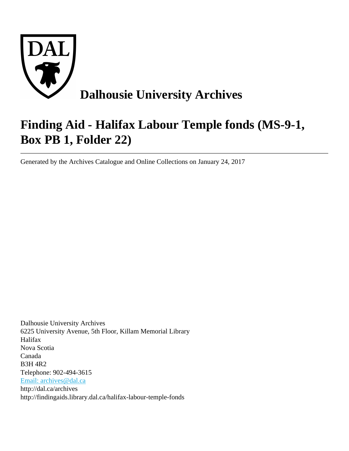

# **Finding Aid - Halifax Labour Temple fonds (MS-9-1, Box PB 1, Folder 22)**

Generated by the Archives Catalogue and Online Collections on January 24, 2017

Dalhousie University Archives 6225 University Avenue, 5th Floor, Killam Memorial Library Halifax Nova Scotia Canada B3H 4R2 Telephone: 902-494-3615 [Email: archives@dal.ca](mailto:Email: archives@dal.ca) http://dal.ca/archives http://findingaids.library.dal.ca/halifax-labour-temple-fonds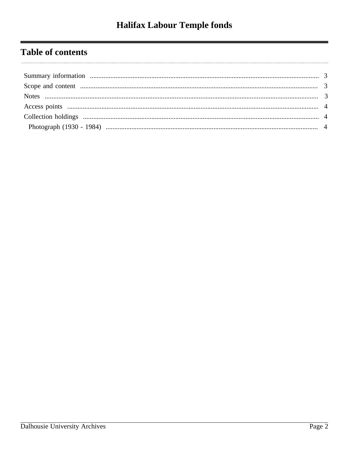# **Table of contents**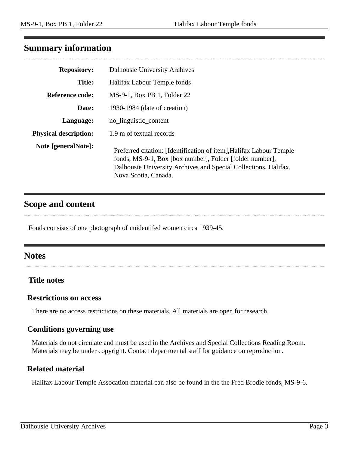# <span id="page-2-0"></span>**Summary information**

| <b>Repository:</b>           | Dalhousie University Archives                                                                                                                                                                                              |
|------------------------------|----------------------------------------------------------------------------------------------------------------------------------------------------------------------------------------------------------------------------|
| <b>Title:</b>                | Halifax Labour Temple fonds                                                                                                                                                                                                |
| Reference code:              | $MS-9-1$ , Box PB 1, Folder 22                                                                                                                                                                                             |
| Date:                        | 1930-1984 (date of creation)                                                                                                                                                                                               |
| Language:                    | no_linguistic_content                                                                                                                                                                                                      |
| <b>Physical description:</b> | 1.9 m of textual records                                                                                                                                                                                                   |
| Note [generalNote]:          | Preferred citation: [Identification of item], Halifax Labour Temple<br>fonds, MS-9-1, Box [box number], Folder [folder number],<br>Dalhousie University Archives and Special Collections, Halifax,<br>Nova Scotia, Canada. |

# <span id="page-2-1"></span>**Scope and content**

Fonds consists of one photograph of unidentifed women circa 1939-45.

# <span id="page-2-2"></span>**Notes**

#### **Title notes**

#### **Restrictions on access**

There are no access restrictions on these materials. All materials are open for research.

#### **Conditions governing use**

Materials do not circulate and must be used in the Archives and Special Collections Reading Room. Materials may be under copyright. Contact departmental staff for guidance on reproduction.

#### **Related material**

Halifax Labour Temple Assocation material can also be found in the the Fred Brodie fonds, MS-9-6.